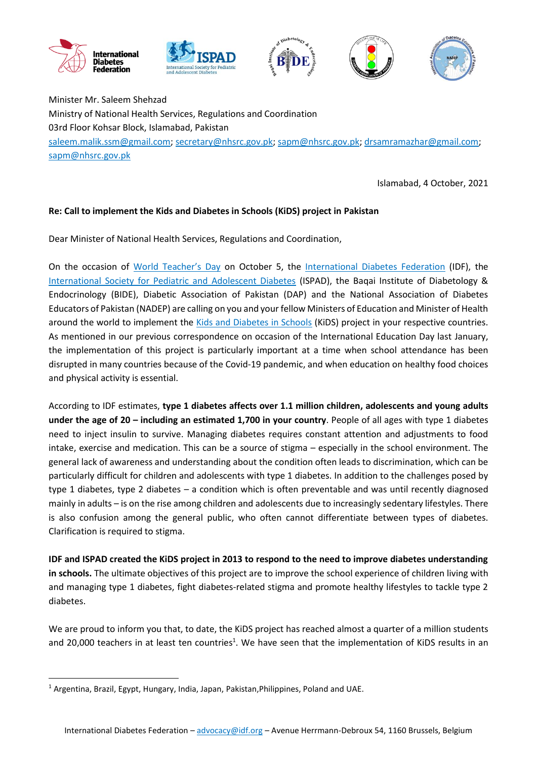









Minister Mr. Saleem Shehzad Ministry of National Health Services, Regulations and Coordination 03rd Floor Kohsar Block, Islamabad, Pakistan [saleem.malik.ssm@gmail.com;](mailto:saleem.malik.ssm@gmail.com) [secretary@nhsrc.gov.pk;](mailto:secretary@nhsrc.gov.pk) [sapm@nhsrc.gov.pk;](mailto:sapm@nhsrc.gov.pk) [drsamramazhar@gmail.com;](mailto:drsamramazhar@gmail.com) [sapm@nhsrc.gov.pk](mailto:sapm@nhsrc.gov.pk)

Islamabad, 4 October, 2021

## **Re: Call to implement the Kids and Diabetes in Schools (KiDS) project in Pakistan**

Dear Minister of National Health Services, Regulations and Coordination,

On the occasion of [World Teacher's Day](https://en.unesco.org/commemorations/worldteachersday) on October 5, the [International Diabetes Federation](https://idf.org/) (IDF), the [International Society for Pediatric and Adolescent Diabetes](https://www.ispad.org/) (ISPAD), the Baqai Institute of Diabetology & Endocrinology (BIDE), Diabetic Association of Pakistan (DAP) and the National Association of Diabetes Educators of Pakistan (NADEP) are calling on you and your fellow Ministers of Education and Minister of Health around the world to implement the [Kids and Diabetes in Schools](https://kids.idf.org/) (KiDS) project in your respective countries. As mentioned in our previous correspondence on occasion of the International Education Day last January, the implementation of this project is particularly important at a time when school attendance has been disrupted in many countries because of the Covid-19 pandemic, and when education on healthy food choices and physical activity is essential.

According to IDF estimates, **type 1 diabetes affects over 1.1 million children, adolescents and young adults under the age of 20 – including an estimated 1,700 in your country**. People of all ages with type 1 diabetes need to inject insulin to survive. Managing diabetes requires constant attention and adjustments to food intake, exercise and medication. This can be a source of stigma – especially in the school environment. The general lack of awareness and understanding about the condition often leads to discrimination, which can be particularly difficult for children and adolescents with type 1 diabetes. In addition to the challenges posed by type 1 diabetes, type 2 diabetes – a condition which is often preventable and was until recently diagnosed mainly in adults – is on the rise among children and adolescents due to increasingly sedentary lifestyles. There is also confusion among the general public, who often cannot differentiate between types of diabetes. Clarification is required to stigma.

**IDF and ISPAD created the KiDS project in 2013 to respond to the need to improve diabetes understanding in schools.** The ultimate objectives of this project are to improve the school experience of children living with and managing type 1 diabetes, fight diabetes-related stigma and promote healthy lifestyles to tackle type 2 diabetes.

We are proud to inform you that, to date, the KiDS project has reached almost a quarter of a million students and 20,000 teachers in at least ten countries<sup>1</sup>. We have seen that the implementation of KiDS results in an

**.** 

<sup>&</sup>lt;sup>1</sup> Argentina, Brazil, Egypt, Hungary, India, Japan, Pakistan, Philippines, Poland and UAE.